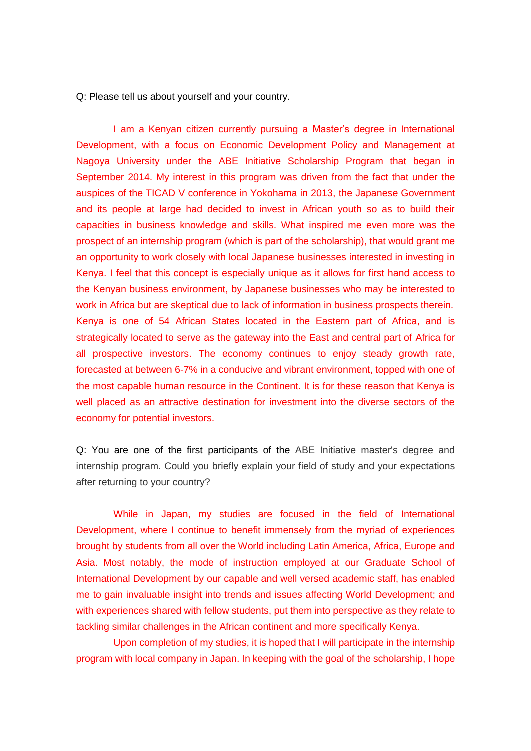Q: Please tell us about yourself and your country.

I am a Kenyan citizen currently pursuing a Master's degree in International Development, with a focus on Economic Development Policy and Management at Nagoya University under the ABE Initiative Scholarship Program that began in September 2014. My interest in this program was driven from the fact that under the auspices of the TICAD V conference in Yokohama in 2013, the Japanese Government and its people at large had decided to invest in African youth so as to build their capacities in business knowledge and skills. What inspired me even more was the prospect of an internship program (which is part of the scholarship), that would grant me an opportunity to work closely with local Japanese businesses interested in investing in Kenya. I feel that this concept is especially unique as it allows for first hand access to the Kenyan business environment, by Japanese businesses who may be interested to work in Africa but are skeptical due to lack of information in business prospects therein. Kenya is one of 54 African States located in the Eastern part of Africa, and is strategically located to serve as the gateway into the East and central part of Africa for all prospective investors. The economy continues to enjoy steady growth rate, forecasted at between 6-7% in a conducive and vibrant environment, topped with one of the most capable human resource in the Continent. It is for these reason that Kenya is well placed as an attractive destination for investment into the diverse sectors of the economy for potential investors.

Q: You are one of the first participants of the ABE Initiative master's degree and internship program. Could you briefly explain your field of study and your expectations after returning to your country?

While in Japan, my studies are focused in the field of International Development, where I continue to benefit immensely from the myriad of experiences brought by students from all over the World including Latin America, Africa, Europe and Asia. Most notably, the mode of instruction employed at our Graduate School of International Development by our capable and well versed academic staff, has enabled me to gain invaluable insight into trends and issues affecting World Development; and with experiences shared with fellow students, put them into perspective as they relate to tackling similar challenges in the African continent and more specifically Kenya.

Upon completion of my studies, it is hoped that I will participate in the internship program with local company in Japan. In keeping with the goal of the scholarship, I hope